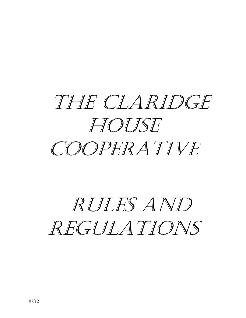

# RULES AND REGULATIONS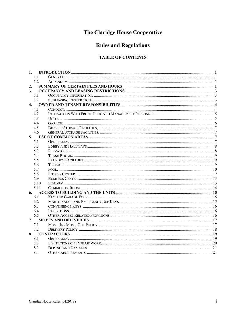# The Claridge House Cooperative

# **Rules and Regulations**

# **TABLE OF CONTENTS**

| 1.             |      |  |  |  |  |  |
|----------------|------|--|--|--|--|--|
|                | 1.1  |  |  |  |  |  |
|                | 1.2  |  |  |  |  |  |
| 2.             |      |  |  |  |  |  |
| 3 <sub>l</sub> |      |  |  |  |  |  |
|                | 3.1  |  |  |  |  |  |
|                | 3.2  |  |  |  |  |  |
| 4.             |      |  |  |  |  |  |
|                | 4.1  |  |  |  |  |  |
|                | 4.2  |  |  |  |  |  |
|                | 4.3  |  |  |  |  |  |
|                | 4.4  |  |  |  |  |  |
|                | 4.5  |  |  |  |  |  |
|                | 4.6  |  |  |  |  |  |
| 5.             |      |  |  |  |  |  |
|                | 5.1  |  |  |  |  |  |
|                | 5.2  |  |  |  |  |  |
|                | 5.3  |  |  |  |  |  |
|                | 5.4  |  |  |  |  |  |
|                | 5.5  |  |  |  |  |  |
|                | 5.6  |  |  |  |  |  |
|                | 5.7  |  |  |  |  |  |
|                | 5.8  |  |  |  |  |  |
|                | 5.9  |  |  |  |  |  |
|                | 5.10 |  |  |  |  |  |
|                | 5.11 |  |  |  |  |  |
| 6.             |      |  |  |  |  |  |
|                | 6.1  |  |  |  |  |  |
|                | 6.2  |  |  |  |  |  |
|                | 6.3  |  |  |  |  |  |
|                | 6.4  |  |  |  |  |  |
|                | 6.5  |  |  |  |  |  |
| 7.             |      |  |  |  |  |  |
|                | 7.1  |  |  |  |  |  |
|                | 7.2  |  |  |  |  |  |
| 8.             |      |  |  |  |  |  |
|                | 8.1  |  |  |  |  |  |
|                | 8.2  |  |  |  |  |  |
|                | 8.3  |  |  |  |  |  |
|                | 8.4  |  |  |  |  |  |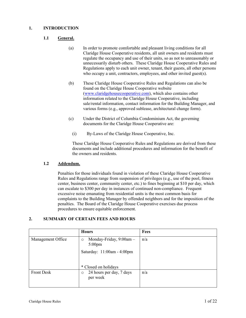# <span id="page-2-1"></span><span id="page-2-0"></span>**1. INTRODUCTION**

# **1.1 General.**

- (a) In order to promote comfortable and pleasant living conditions for all Claridge House Cooperative residents, all unit owners and residents must regulate the occupancy and use of their units, so as not to unreasonably or unnecessarily disturb others. These Claridge House Cooperative Rules and Regulations apply to each unit owner, tenant, their guests, all other persons who occupy a unit, contractors, employees, and other invited guest(s).
- (b) These Claridge House Cooperative Rules and Regulations can also be found on the Claridge House Cooperative website [\(www.claridgehousecooperative.com\)](http://www.claridgehousecooperative.com/), which also contains other information related to the Claridge House Cooperative, including sale/rental information, contact information for the Building Manager, and various forms (e.g., approved sublease, architectural change form).
- (c) Under the District of Columbia Condominium Act, the governing documents for the Claridge House Cooperative are:
	- (i) By-Laws of the Claridge House Cooperative, Inc.

These Claridge House Cooperative Rules and Regulations are derived from these documents and include additional procedures and information for the benefit of the owners and residents.

#### <span id="page-2-2"></span>**1.2 Addendum.**

Penalties for those individuals found in violation of these Claridge House Cooperative Rules and Regulations range from suspension of privileges (e.g., use of the pool, fitness center, business center, community center, etc.) to fines beginning at \$10 per day, which can escalate to \$300 per day in instances of continued non-compliance. Frequent excessive noise emanating from residential units is the most common basis for complaints to the Building Manager by offended neighbors and for the imposition of the penalties. The Board of the Claridge House Cooperative exercises due process procedures to ensure equitable enforcement.

# <span id="page-2-3"></span>**2. SUMMARY OF CERTAIN FEES AND HOURS**

|                   | <b>Hours</b>                                           | <b>Fees</b> |
|-------------------|--------------------------------------------------------|-------------|
| Management Office | Monday-Friday, 9:00am -<br>$\circ$<br>$5:00 \text{pm}$ | n/a         |
|                   | Saturday: 11:00am - 4:00pm                             |             |
|                   | * Closed on holidays                                   |             |
| <b>Front Desk</b> | 24 hours per day, 7 days<br>$\circ$<br>per week        | n/a         |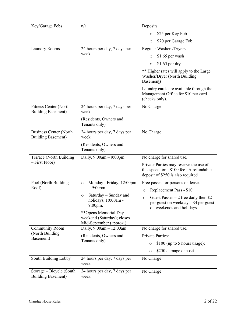| Key/Garage Fobs                                            | n/a                                                                           | Deposits                                                                                                                 |
|------------------------------------------------------------|-------------------------------------------------------------------------------|--------------------------------------------------------------------------------------------------------------------------|
|                                                            |                                                                               | \$25 per Key Fob<br>$\circ$                                                                                              |
|                                                            |                                                                               | \$70 per Garage Fob<br>$\circ$                                                                                           |
| Laundry Rooms                                              | 24 hours per day, 7 days per<br>week                                          | <b>Regular Washers/Dryers</b>                                                                                            |
|                                                            |                                                                               | \$1.65 per wash<br>$\circ$                                                                                               |
|                                                            |                                                                               | $$1.65$ per dry<br>$\circ$                                                                                               |
|                                                            |                                                                               | ** Higher rates will apply to the Large<br>Washer/Dryer (North Building<br>Basement)                                     |
|                                                            |                                                                               | Laundry cards are available through the<br>Management Office for \$10 per card<br>(checks only).                         |
| Fitness Center (North<br><b>Building Basement)</b>         | 24 hours per day, 7 days per<br>week                                          | No Charge                                                                                                                |
|                                                            | (Residents, Owners and<br>Tenants only)                                       |                                                                                                                          |
| <b>Business Center (North</b><br><b>Building Basement)</b> | 24 hours per day, 7 days per<br>week                                          | No Charge                                                                                                                |
|                                                            | (Residents, Owners and<br>Tenants only)                                       |                                                                                                                          |
| Terrace (North Building                                    | Daily, $9:00am - 9:00pm$                                                      | No charge for shared use.                                                                                                |
| - First Floor)                                             |                                                                               | Private Parties may reserve the use of<br>this space for a \$100 fee. A refundable<br>deposit of \$250 is also required. |
| Pool (North Building                                       | Monday - Friday, 12:00pm<br>$\circ$                                           | Free passes for persons on leases                                                                                        |
| Roof)                                                      | $-9:00$ pm                                                                    | Replacement Pass - \$10<br>$\circ$                                                                                       |
|                                                            | Saturday – Sunday and<br>$\circ$<br>holidays, 10:00am -<br>9:00pm.            | Guest Passes $-2$ free daily then \$2<br>$\circ$<br>per guest on weekdays; \$4 per guest<br>on weekends and holidays     |
|                                                            | **Opens Memorial Day<br>weekend (Saturday); closes<br>Mid-September (approx.) |                                                                                                                          |
| <b>Community Room</b>                                      | Daily, 9:00am - 12:00am                                                       | No charge for shared use.                                                                                                |
| (North Building<br>Basement)                               | (Residents, Owners and<br>Tenants only)                                       | <b>Private Parties:</b>                                                                                                  |
|                                                            |                                                                               | \$100 (up to 5 hours usage);<br>$\circ$                                                                                  |
|                                                            |                                                                               | \$250 damage deposit<br>$\circ$                                                                                          |
| South Building Lobby                                       | 24 hours per day, 7 days per<br>week                                          | No Charge                                                                                                                |
| Storage – Bicycle (South<br><b>Building Basement</b> )     | 24 hours per day, 7 days per<br>week                                          | No Charge                                                                                                                |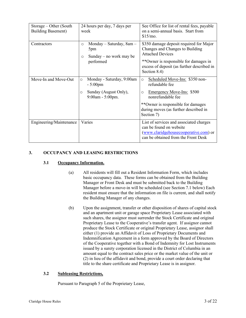| Storage – Other (South<br><b>Building Basement</b> ) | 24 hours per day, 7 days per<br>week                                                                              | See Office for list of rental fees, payable<br>on a semi-annual basis. Start from<br>\$15/mo.                                                                                                                         |
|------------------------------------------------------|-------------------------------------------------------------------------------------------------------------------|-----------------------------------------------------------------------------------------------------------------------------------------------------------------------------------------------------------------------|
| Contractors                                          | Monday - Saturday, 8am -<br>$\circ$<br>5pm<br>Sunday – no work may be<br>$\circ$<br>performed                     | \$350 damage deposit required for Major<br>Changes and Changes to Building<br><b>Attached Devices</b><br>**Owner is responsible for damages in<br>excess of deposit (as further described in<br>Section 8.4)          |
| Move-In and Move-Out                                 | Monday - Saturday, 9:00am<br>$\circ$<br>$-5:00 \text{pm}$<br>Sunday (August Only),<br>$\circ$<br>9:00am - 5:00pm. | Scheduled Move-Ins: \$350 non-<br>$\circ$<br>refundable fee<br>Emergency Move-Ins: \$500<br>$\circ$<br>nonrefundable fee<br>**Owner is responsible for damages<br>during moves (as further described in<br>Section 7) |
| Engineering/Maintenance                              | Varies                                                                                                            | List of services and associated charges<br>can be found on website<br>(www.claridgehousecooperative.com) or<br>can be obtained from the Front Desk                                                                    |

# <span id="page-4-1"></span><span id="page-4-0"></span>**3. OCCUPANCY AND LEASING RESTRICTIONS**

#### **3.1 Occupancy Information.**

- (a) All residents will fill out a Resident Information Form, which includes basic occupancy data. These forms can be obtained from the Building Manager or Front Desk and must be submitted back to the Building Manager before a move-in will be scheduled (see Section [7.1](#page-18-1) below) Each resident must ensure that the information on file is current, and shall notify the Building Manager of any changes.
- (b) Upon the assignment, transfer or other disposition of shares of capital stock and an apartment unit or garage space Proprietary Lease associated with such shares, the assignor must surrender the Stock Certificate and original Proprietary Lease to the Cooperative's transfer agent. If assignor cannot produce the Stock Certificate or original Proprietary Lease, assignor shall either (1) provide an Affidavit of Loss of Proprietary Documents and Indemnification Agreement in a form approved by the Board of Directors of the Cooperative together with a Bond of Indemnity for Lost Instruments issued by a surety corporation licensed in the District of Columbia in an amount equal to the contract sales price or the market value of the unit or (2) in lieu of the affidavit and bond, provide a court order declaring that title to the share certificate and Proprietary Lease is in assignor.

#### <span id="page-4-2"></span>**3.2 Subleasing Restrictions,**

Pursuant to Paragraph 5 of the Proprietary Lease,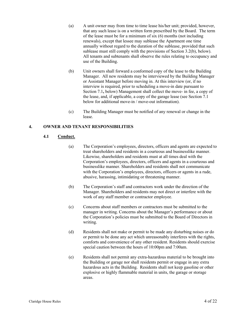- (a) A unit owner may from time to time lease his/her unit; provided, however, that any such lease is on a written form prescribed by the Board. The term of the lease must be for a minimum of six (6) months (not including renewals), except that lessee may sublease the Apartment one time annually without regard to the duration of the sublease, provided that such sublease must still comply with the provisions of Section [3.2\(b\),](#page-5-2) below). All tenants and subtenants shall observe the rules relating to occupancy and use of the Building.
- <span id="page-5-2"></span>(b) Unit owners shall forward a conformed copy of the lease to the Building Manager. All new residents may be interviewed by the Building Manager or Assistant Manager before moving in. At this interview (or, if no interview is required, prior to scheduling a move-in date pursuant to Sectio[n 7.1](#page-18-1)**,** below) Management shall collect the move- in fee, a copy of the lease, and, if applicable, a copy of the garage lease (see Section [7.1](#page-18-1) below for additional move-in / move-out information).
- (c) The Building Manager must be notified of any renewal or change in the lease.

#### <span id="page-5-1"></span><span id="page-5-0"></span>**4. OWNER AND TENANT RESPONSIBILITIES**

#### **4.1 Conduct.**

- (a) The Corporation's employees, directors, officers and agents are expected to treat shareholders and residents in a courteous and businesslike manner. Likewise, shareholders and residents must at all times deal with the Corporation's employees, directors, officers and agents in a courteous and businesslike manner. Shareholders and residents shall not communicate with the Corporation's employees, directors, officers or agents in a rude, abusive, harassing, intimidating or threatening manner.
- (b) The Corporation's staff and contractors work under the direction of the Manager. Shareholders and residents may not direct or interfere with the work of any staff member or contractor employee.
- (c) Concerns about staff members or contractors must be submitted to the manager in writing. Concerns about the Manager's performance or about the Corporation's policies must be submitted to the Board of Directors in writing.
- (d) Residents shall not make or permit to be made any disturbing noises or do or permit to be done any act which unreasonably interferes with the rights, comforts and convenience of any other resident. Residents should exercise special caution between the hours of 10:00pm and 7:00am.
- (e) Residents shall not permit any extra-hazardous material to be brought into the Building or garage nor shall residents permit or engage in any extra hazardous acts in the Building. Residents shall not keep gasoline or other explosive or highly flammable material in units, the garage or storage areas.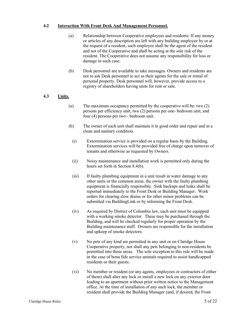#### <span id="page-6-0"></span>**4.2 Interaction With Front Desk And Management Personnel.**

- (a) Relationship between Cooperative employees and residents: If any money or articles of any description are left with any building employee by or at the request of a resident, such employee shall be the agent of the resident and not of the Cooperative and shall be acting at the sole risk of the resident. The Cooperative does not assume any responsibility for loss or damage in such case.
- (b) Desk personnel are available to take messages. Owners and residents are not to ask Desk personnel to act as their agents for the sale or rental of personal property. Desk personnel will, however, provide access to a registry of shareholders having units for rent or sale.

## <span id="page-6-1"></span>**4.3 Units.**

- (a) The maximum occupancy permitted by the cooperative will be: two (2) persons per efficiency unit; two (2) persons per one- bedroom unit, and four (4) persons per two - bedroom unit.
- (b) The owner of each unit shall maintain it in good order and repair and in a clean and sanitary condition.
	- (i) Extermination service is provided on a regular basis by the Building. Extermination services will be provided free of charge upon turnover of tenants and otherwise as requested by Owners.
	- (ii) Noisy maintenance and installation work is permitted only during the hours set forth in Section [8.4\(b\).](#page-22-2)
	- (iii) If faulty plumbing equipment in a unit result in water damage to any other units or the common areas, the owner with the faulty plumbing equipment is financially responsible. Sink backups and leaks shall be reported immediately to the Front Desk or Building Manager. Work orders for clearing slow drains or for other minor problems can be submitted via BuildingLink or by informing the Front Desk.
	- (iv) As required by District of Columbia law, each unit must be equipped with a working smoke detector. These may be purchased through the Building, and will be checked regularly for proper operation by the Building maintenance staff. Owners are responsible for the installation and upkeep of smoke detectors.
	- (v) No pets of any kind are permitted in any unit or on Claridge House Cooperative property, nor shall any pets belonging to non-residents be permitted into these areas. The sole exception to this rule will be made in the case of bona fide service animals required to assist handicapped residents or their guests.
	- (vi) No member or resident (or any agents, employees or contractors of either of them) shall alter any lock or install a new lock on any exterior door leading to an apartment without prior written notice to the Management office. At the time of installation of any such lock, the member or resident shall provide the Building Manager (and, if desired, the Front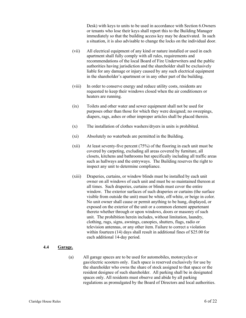Desk) with keys to units to be used in accordance with Section [6.](#page-16-0)Owners or tenants who lose their keys shall report this to the Building Manager immediately so that the building access key may be deactivated. In such a situation, it is also advisable to change the locks on the individual door.

- (vii) All electrical equipment of any kind or nature installed or used in each apartment shall fully comply with all rules, requirements and recommendations of the local Board of Fire Underwriters and the public authorities having jurisdiction and the shareholder shall be exclusively liable for any damage or injury caused by any such electrical equipment in the shareholder's apartment or in any other part of the building.
- (viii) In order to conserve energy and reduce utility costs, residents are requested to keep their windows closed when the air conditioners or heaters are running.
- (ix) Toilets and other water and sewer equipment shall not be used for purposes other than those for which they were designed; no sweepings, diapers, rags, ashes or other improper articles shall be placed therein.
- (x) The installation of clothes washers/dryers in units is prohibited.
- (xi) Absolutely no waterbeds are permitted in the Building.
- (xii) At least seventy-five percent (75%) of the flooring in each unit must be covered by carpeting, excluding all areas covered by furniture, all closets, kitchens and bathrooms but specifically including all traffic areas such as hallways and the entryways. The Building reserves the right to inspect any unit to determine compliance.
- (xiii) Draperies, curtains, or window blinds must be installed by each unit owner on all windows of each unit and must be so maintained thereon at all times. Such draperies, curtains or blinds must cover the entire window. The exterior surfaces of such draperies or curtains (the surface visible from outside the unit) must be white, off-white, or beige in color. No unit owner shall cause or permit anything to be hung, displayed, or exposed on the exterior of the unit or a common element appurtenant thereto whether through or upon windows, doors or masonry of such unit. The prohibition herein includes, without limitation, laundry, clothing, rugs, signs, awnings, canopies, shutters, flags, radio or television antennas, or any other item. Failure to correct a violation within fourteen (14) days shall result in additional fines of \$25.00 for each additional 14-day period.

#### <span id="page-7-0"></span>**4.4 Garage.**

(a) All garage spaces are to be used for automobiles, motorcycles or gas/electric scooters only. Each space is reserved exclusively for use by the shareholder who owns the share of stock assigned to that space or the resident designee of such shareholder. All parking shall be in designated spaces only. All residents must observe and abide by all parking regulations as promulgated by the Board of Directors and local authorities.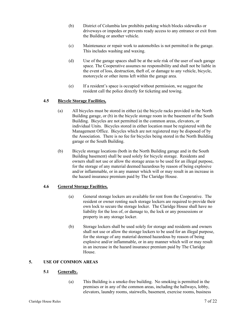- (b) District of Columbia law prohibits parking which blocks sidewalks or driveways or impedes or prevents ready access to any entrance or exit from the Building or another vehicle.
- (c) Maintenance or repair work to automobiles is not permitted in the garage. This includes washing and waxing.
- (d) Use of the garage spaces shall be at the sole risk of the user of such garage space. The Cooperative assumes no responsibility and shall not be liable in the event of loss, destruction, theft of, or damage to any vehicle, bicycle, motorcycle or other items left within the garage area.
- (e) If a resident's space is occupied without permission, we suggest the resident call the police directly for ticketing and towing.

#### <span id="page-8-1"></span><span id="page-8-0"></span>**4.5 Bicycle Storage Facilities,**

- (a) All bicycles must be stored in either (a) the bicycle racks provided in the North Building garage, or (b) in the bicycle storage room in the basement of the South Building. Bicycles are not permitted in the common areas, elevators, or individual Units. Bicycles stored in either location must be registered with the Management Office. Bicycles which are not registered may be disposed of by the Association. There is no fee for bicycles being stored in the North Building garage or the South Building.
- (b) Bicycle storage locations (both in the North Building garage and in the South Building basement) shall be used solely for bicycle storage. Residents and owners shall not use or allow the storage areas to be used for an illegal purpose, for the storage of any material deemed hazardous by reason of being explosive and/or inflammable, or in any manner which will or may result in an increase in the hazard insurance premium paid by The Claridge House.

#### **4.6 General Storage Facilities.**

- (a) General storage lockers are available for rent from the Cooperative. The resident or owner renting such storage lockers are required to provide their own lock to secure the storage locker. The Claridge House shall have no liability for the loss of, or damage to, the lock or any possessions or property in any storage locker.
- (b) Storage lockers shall be used solely for storage and residents and owners shall not use or allow the storage lockers to be used for an illegal purpose, for the storage of any material deemed hazardous by reason of being explosive and/or inflammable, or in any manner which will or may result in an increase in the hazard insurance premium paid by The Claridge House.

# <span id="page-8-3"></span><span id="page-8-2"></span>**5. USE OF COMMON AREAS**

#### **5.1 Generally.**

(a) This Building is a smoke-free building. No smoking is permitted in the premises or in any of the common areas, including the hallways, lobby, elevators, laundry rooms, stairwells, basement, exercise rooms, business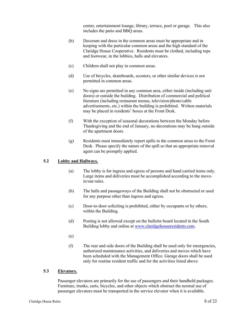center, entertainment lounge, library, terrace, pool or garage.This also includes the patio and BBQ areas.

- (b) Decorum and dress in the common areas must be appropriate and in keeping with the particular common areas and the high standard of the Claridge House Cooperative. Residents must be clothed, including tops and footwear, in the lobbies, halls and elevators.
- (c) Children shall not play in common areas.
- (d) Use of bicycles, skateboards, scooters, or other similar devices is not permitted in common areas.
- (e) No signs are permitted in any common area, either inside (including unit doors) or outside the building. Distribution of commercial and political literature (including restaurant menus, television/phone/cable advertisements, etc.) within the building is prohibited. Written materials may be placed in residents' boxes at the Front Desk.
- (f) With the exception of seasonal decorations between the Monday before Thanksgiving and the end of January, no decorations may be hung outside of the apartment doors.
- (g) Residents must immediately report spills in the common areas to the Front Desk. Please specify the nature of the spill so that an appropriate removal agent can be promptly applied.

#### <span id="page-9-0"></span>**5.2 Lobby and Hallways.**

- (a) The lobby is for ingress and egress of persons and hand carried items only. Large items and deliveries must be accomplished according to the movein/out rules.
- (b) The halls and passageways of the Building shall not be obstructed or used for any purpose other than ingress and egress.
- (c) Door-to-door soliciting is prohibited, either by occupants or by others, within the Building.
- (d) Posting is not allowed except on the bulletin board located in the South Building lobby and online at [www.claridgehouseresidents.com.](http://www.claridgehouseresidents.com/)
- (e)
- (f) The rear and side doors of the Building shall be used only for emergencies, authorized maintenance activities, and deliveries and moves which have been scheduled with the Management Office. Garage doors shall be used only for routine resident traffic and for the activities listed above.

#### <span id="page-9-1"></span>**5.3 Elevators.**

Passenger elevators are primarily for the use of passengers and their handheld packages. Furniture, trunks, carts, bicycles, and other objects which obstruct the normal use of passenger elevators must be transported in the service elevator when it is available.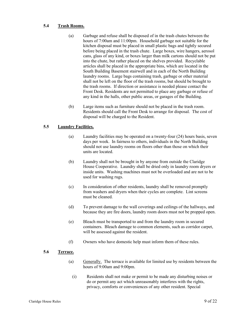#### <span id="page-10-0"></span>**5.4 Trash Rooms.**

- (a) Garbage and refuse shall be disposed of in the trash chutes between the hours of 7:00am and 11:00pm. Household garbage not suitable for the kitchen disposal must be placed in small plastic bags and tightly secured before being placed in the trash chute. Large boxes, wire hangers, aerosol cans, glass of any kind, or boxes larger than milk cartons should not be put into the chute, but rather placed on the shelves provided. Recyclable articles shall be placed in the appropriate bins, which are located in the South Building Basement stairwell and in each of the North Building laundry rooms. Large bags containing trash, garbage or other material shall not be left on the floor of the trash rooms, but should be brought to the trash rooms. If direction or assistance is needed please contact the Front Desk. Residents are not permitted to place any garbage or refuse of any kind in the halls, other public areas, or garages of the Building.
- (b) Large items such as furniture should not be placed in the trash room. Residents should call the Front Desk to arrange for disposal. The cost of disposal will be charged to the Resident.

#### <span id="page-10-1"></span>**5.5 Laundry Facilities.**

- (a) Laundry facilities may be operated on a twenty-four (24) hours basis, seven days per week. In fairness to others, individuals in the North Building should not use laundry rooms on floors other than those on which their units are located.
- (b) Laundry shall not be brought in by anyone from outside the Claridge House Cooperative. Laundry shall be dried only in laundry room dryers or inside units. Washing machines must not be overloaded and are not to be used for washing rugs.
- (c) In consideration of other residents, laundry shall be removed promptly from washers and dryers when their cycles are complete. Lint screens must be cleaned.
- (d) To prevent damage to the wall coverings and ceilings of the hallways, and because they are fire doors, laundry room doors must not be propped open.
- (e) Bleach must be transported to and from the laundry room in secured containers. Bleach damage to common elements, such as corridor carpet, will be assessed against the resident.
- (f) Owners who have domestic help must inform them of these rules.

#### <span id="page-10-2"></span>**5.6 Terrace.**

- (a) Generally. The terrace is available for limited use by residents between the hours of 9:00am and 9:00pm.
	- (i) Residents shall not make or permit to be made any disturbing noises or do or permit any act which unreasonably interferes with the rights, privacy, comforts or conveniences of any other resident. Special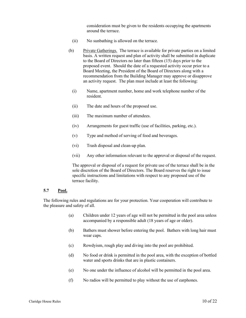consideration must be given to the residents occupying the apartments around the terrace.

- (ii) No sunbathing is allowed on the terrace.
- (b) Private Gatherings. The terrace is available for private parties on a limited basis. A written request and plan of activity shall be submitted in duplicate to the Board of Directors no later than fifteen (15) days prior to the proposed event. Should the date of a requested activity occur prior to a Board Meeting, the President of the Board of Directors along with a recommendation from the Building Manager may approve or disapprove an activity request. The plan must include at least the following:
	- (i) Name, apartment number, home and work telephone number of the resident.
	- (ii) The date and hours of the proposed use.
	- (iii) The maximum number of attendees.
	- (iv) Arrangements for guest traffic (use of facilities, parking, etc.).
	- (v) Type and method of serving of food and beverages.
	- (vi) Trash disposal and clean-up plan.
	- (vii) Any other information relevant to the approval or disposal of the request.

The approval or disposal of a request for private use of the terrace shall be in the sole discretion of the Board of Directors. The Board reserves the right to issue specific instructions and limitations with respect to any proposed use of the terrace facility.

#### <span id="page-11-0"></span>**5.7 Pool.**

The following rules and regulations are for your protection. Your cooperation will contribute to the pleasure and safety of all.

- (a) Children under 12 years of age will not be permitted in the pool area unless accompanied by a responsible adult (18 years of age or older).
- (b) Bathers must shower before entering the pool. Bathers with long hair must wear caps.
- (c) Rowdyism, rough play and diving into the pool are prohibited.
- (d) No food or drink is permitted in the pool area, with the exception of bottled water and sports drinks that are in plastic containers.
- (e) No one under the influence of alcohol will be permitted in the pool area.
- (f) No radios will be permitted to play without the use of earphones.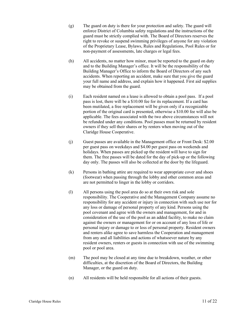- (g) The guard on duty is there for your protection and safety. The guard will enforce District of Columbia safety regulations and the instructions of the guard must be strictly complied with. The Board of Directors reserves the right to revoke or suspend swimming privileges of anyone for any violation of the Proprietary Lease, Bylaws, Rules and Regulations, Pool Rules or for non-payment of assessments, late charges or legal fees.
- (h) All accidents, no matter how minor, must be reported to the guard on duty and to the Building Manager's office. It will be the responsibility of the Building Manager's Office to inform the Board of Directors of any such accidents. When reporting an accident, make sure that you give the guard your full name and address, and explain how it happened. First aid supplies may be obtained from the guard.
- (i) Each resident named on a lease is allowed to obtain a pool pass. If a pool pass is lost, there will be a \$10.00 fee for its replacement. If a card has been mutilated, a free replacement will be given only if a recognizable portion of the original card is presented, otherwise a \$10.00 fee will also be applicable. The fees associated with the two above circumstances will not be refunded under any conditions. Pool passes must be returned by resident owners if they sell their shares or by renters when moving out of the Claridge House Cooperative.
- (j) Guest passes are available in the Management office or Front Desk: \$2.00 per guest pass on weekdays and \$4.00 per guest pass on weekends and holidays. When passes are picked up the resident will have to sign for them. The free passes will be dated for the day of pick-up or the following day only. The passes will also be collected at the door by the lifeguard.
- (k) Persons in bathing attire are required to wear appropriate cover and shoes (footwear) when passing through the lobby and other common areas and are not permitted to linger in the lobby or corridors.
- (l) All persons using the pool area do so at their own risk and sole responsibility. The Cooperative and the Management Company assume no responsibility for any accident or injury in connection with such use nor for any loss or damage of personal property of any kind. Persons using the pool covenant and agree with the owners and management, for and in consideration of the use of the pool as an added facility, to make no claim against the owners or management for or on account of any loss of life or personal injury or damage to or loss of personal property. Resident owners and renters alike agree to save harmless the Cooperation and management from any and all liabilities and actions of whatsoever nature by any resident owners, renters or guests in connection with use of the swimming pool or pool area.
- (m) The pool may be closed at any time due to breakdown, weather, or other difficulties, at the discretion of the Board of Directors, the Building Manager, or the guard on duty.
- (n) All residents will be held responsible for all actions of their guests.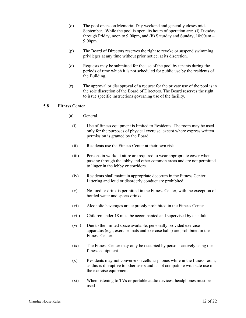- (o) The pool opens on Memorial Day weekend and generally closes mid-September. While the pool is open, its hours of operation are: (i) Tuesday through Friday, noon to 9:00pm, and (ii) Saturday and Sunday, 10:00am – 9:00pm.
- (p) The Board of Directors reserves the right to revoke or suspend swimming privileges at any time without prior notice, at its discretion.
- (q) Requests may be submitted for the use of the pool by tenants during the periods of time which it is not scheduled for public use by the residents of the Building.
- (r) The approval or disapproval of a request for the private use of the pool is in the sole discretion of the Board of Directors. The Board reserves the right to issue specific instructions governing use of the facility.

#### <span id="page-13-0"></span>**5.8 Fitness Center.**

- (a) General.
	- (i) Use of fitness equipment is limited to Residents. The room may be used only for the purposes of physical exercise, except where express written permission is granted by the Board.
	- (ii) Residents use the Fitness Center at their own risk.
	- (iii) Persons in workout attire are required to wear appropriate cover when passing through the lobby and other common areas and are not permitted to linger in the lobby or corridors.
	- (iv) Residents shall maintain appropriate decorum in the Fitness Center. Littering and loud or disorderly conduct are prohibited.
	- (v) No food or drink is permitted in the Fitness Center, with the exception of bottled water and sports drinks.
	- (vi) Alcoholic beverages are expressly prohibited in the Fitness Center.
	- (vii) Children under 18 must be accompanied and supervised by an adult.
	- (viii) Due to the limited space available, personally provided exercise apparatus (e.g., exercise mats and exercise balls) are prohibited in the Fitness Center.
	- (ix) The Fitness Center may only be occupied by persons actively using the fitness equipment.
	- (x) Residents may not converse on cellular phones while in the fitness room, as this is disruptive to other users and is not compatible with safe use of the exercise equipment.
	- (xi) When listening to TVs or portable audio devices, headphones must be used.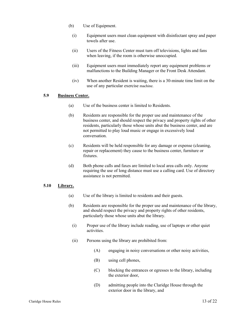- (b) Use of Equipment.
	- (i) Equipment users must clean equipment with disinfectant spray and paper towels after use.
	- (ii) Users of the Fitness Center must turn off televisions, lights and fans when leaving, if the room is otherwise unoccupied.
	- (iii) Equipment users must immediately report any equipment problems or malfunctions to the Building Manager or the Front Desk Attendant.
	- (iv) When another Resident is waiting, there is a 30-minute time limit on the use of any particular exercise machine.

#### <span id="page-14-0"></span>**5.9 Business Center.**

- (a) Use of the business center is limited to Residents.
- (b) Residents are responsible for the proper use and maintenance of the business center, and should respect the privacy and property rights of other residents, particularly those whose units abut the business center, and are not permitted to play loud music or engage in excessively loud conversation.
- (c) Residents will be held responsible for any damage or expense (cleaning, repair or replacement) they cause to the business center, furniture or fixtures.
- (d) Both phone calls and faxes are limited to local area calls only. Anyone requiring the use of long distance must use a calling card. Use of directory assistance is not permitted.

#### <span id="page-14-1"></span>**5.10 Library.**

- (a) Use of the library is limited to residents and their guests.
- (b) Residents are responsible for the proper use and maintenance of the library, and should respect the privacy and property rights of other residents, particularly those whose units abut the library.
	- (i) Proper use of the library include reading, use of laptops or other quiet activities.
	- (ii) Persons using the library are prohibited from:
		- (A) engaging in noisy conversations or other noisy activities,
		- (B) using cell phones,
		- (C) blocking the entrances or egresses to the library, including the exterior door,
		- (D) admitting people into the Claridge House through the exterior door in the library, and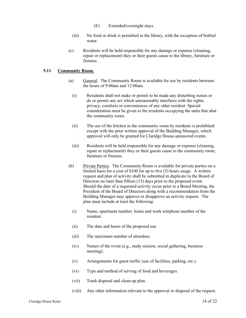- (E) Extended/overnight stays.
- (iii) No food or drink is permitted in the library, with the exception of bottled water.
- (c) Residents will be held responsible for any damage or expense (cleaning, repair or replacement) they or their guests cause to the library, furniture or fixtures.

#### <span id="page-15-0"></span>**5.11 Community Room.**

- (a) General. The Community Room is available for use by residents between the hours of 9:00am and 12:00am.
	- (i) Residents shall not make or permit to be made any disturbing noises or do or permit any act which unreasonably interferes with the rights, privacy, comforts or conveniences of any other resident. Special consideration must be given to the residents occupying the units that abut the community room.
	- (ii) The use of the kitchen in the community room by residents is prohibited except with the prior written approval of the Building Manager, which approval will only be granted for Claridge House-sponsored events.
	- (iii) Residents will be held responsible for any damage or expense (cleaning, repair or replacement) they or their guests cause to the community room, furniture or fixtures.
- (b) Private Parties. The Community Room is available for private parties on a limited basis for a cost of \$100 for up to five (5) hours usage. A written request and plan of activity shall be submitted in duplicate to the Board of Directors no later than fifteen (15) days prior to the proposed event. Should the date of a requested activity occur prior to a Board Meeting, the President of the Board of Directors along with a recommendation from the Building Manager may approve or disapprove an activity request. The plan must include at least the following:
	- (i) Name, apartment number, home and work telephone number of the resident.
	- (ii) The date and hours of the proposed use.
	- (iii) The maximum number of attendees.
	- (iv) Nature of the event (e.g., study session, social gathering, business meeting).
	- (v) Arrangements for guest traffic (use of facilities, parking, etc.).
	- (vi) Type and method of serving of food and beverages.
	- (vii) Trash disposal and clean-up plan.
	- (viii) Any other information relevant to the approval or disposal of the request.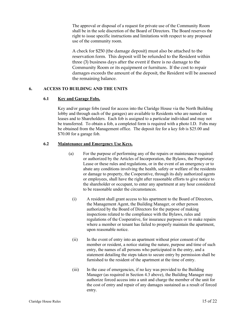The approval or disposal of a request for private use of the Community Room shall be in the sole discretion of the Board of Directors. The Board reserves the right to issue specific instructions and limitations with respect to any proposed use of the community room.

A check for \$250 (the damage deposit) must also be attached to the reservation form. This deposit will be refunded to the Resident within three (3) business days after the event if there is no damage to the Community Room or its equipment or furniture**.** If the cost to repair damages exceeds the amount of the deposit, the Resident will be assessed the remaining balance.

#### <span id="page-16-1"></span><span id="page-16-0"></span>**6. ACCESS TO BUILDING AND THE UNITS**

#### **6.1 Key and Garage Fobs.**

Key and/or garage fobs (used for access into the Claridge House via the North Building lobby and through each of the garages) are available to Residents who are named on leases and to Shareholders. Each fob is assigned to a particular individual and may not be transferred. To obtain a fob, a completed form is required with a photo I.D. Fobs may be obtained from the Management office. The deposit fee for a key fob is \$25.00 and \$70.00 for a garage fob.

#### <span id="page-16-2"></span>**6.2 Maintenance and Emergency Use Keys.**

- (a) For the purpose of performing any of the repairs or maintenance required or authorized by the Articles of Incorporation, the Bylaws, the Proprietary Lease or these rules and regulations, or in the event of an emergency or to abate any conditions involving the health, safety or welfare of the residents or damage to property, the Cooperative, through its duly authorized agents or employees, shall have the right after reasonable efforts to give notice to the shareholder or occupant, to enter any apartment at any hour considered to be reasonable under the circumstances.
	- (i) A resident shall grant access to his apartment to the Board of Directors, the Management Agent, the Building Manager, or other person authorized by the Board of Directors for the purpose of making inspections related to the compliance with the Bylaws, rules and regulations of the Cooperative, for insurance purposes or to make repairs where a member or tenant has failed to properly maintain the apartment, upon reasonable notice.
	- (ii) In the event of entry into an apartment without prior consent of the member or resident, a notice stating the nature, purpose and time of such entry, the names of all persons who participated in the entry, and a statement detailing the steps taken to secure entry by permission shall be furnished to the resident of the apartment at the time of entry.
	- (iii) In the case of emergencies, if no key was provided to the Building Manager (as required in Section [4.3](#page-6-1) above), the Building Manager may authorize forced access into a unit and charge the member of the unit for the cost of entry and repair of any damages sustained as a result of forced entry.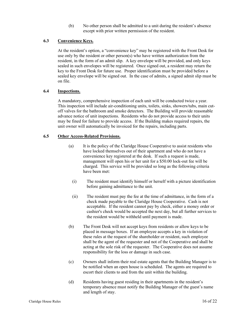(b) No other person shall be admitted to a unit during the resident's absence except with prior written permission of the resident.

## <span id="page-17-0"></span>**6.3 Convenience Keys.**

At the resident's option, a "convenience key" may be registered with the Front Desk for use only by the resident or other person(s) who have written authorization from the resident, in the form of an admit slip. A key envelope will be provided, and only keys sealed in such envelopes will be registered. Once signed out, a resident may return the key to the Front Desk for future use. Proper identification must be provided before a sealed key envelope will be signed out. In the case of admits, a signed admit slip must be on file.

#### <span id="page-17-1"></span>**6.4 Inspections.**

A mandatory, comprehensive inspection of each unit will be conducted twice a year. This inspection will include air-conditioning units, toilets, sinks, showers/tubs, main cutoff valves for the bathroom and smoke detectors. The Building will provide reasonable advance notice of unit inspections. Residents who do not provide access to their units may be fined for failure to provide access. If the Building makes required repairs, the unit owner will automatically be invoiced for the repairs, including parts.

#### <span id="page-17-2"></span>**6.5 Other Access-Related Provisions.**

- (a) It is the policy of the Claridge House Cooperative to assist residents who have locked themselves out of their apartment and who do not have a convenience key registered at the desk. If such a request is made, management will open his or her unit for a \$50.00 lock-out fee will be charged. This service will be provided so long as the following criteria have been met:
	- (i) The resident must identify himself or herself with a picture identification before gaining admittance to the unit.
	- (ii) The resident must pay the fee at the time of admittance, in the form of a check made payable to the Claridge House Cooperative. Cash is not acceptable. If the resident cannot pay by check, either a money order or cashier's check would be accepted the next day, but all further services to the resident would be withheld until payment is made.
- (b) The Front Desk will not accept keys from residents or allow keys to be placed in message boxes. If an employee accepts a key in violation of these rules at the request of the shareholder or resident, such employee shall be the agent of the requester and not of the Cooperative and shall be acting at the sole risk of the requester. The Cooperative does not assume responsibility for the loss or damage in such case.
- (c) Owners shall inform their real estate agents that the Building Manager is to be notified when an open house is scheduled. The agents are required to escort their clients to and from the unit within the building.
- (d) Residents having guest residing in their apartments in the resident's temporary absence must notify the Building Manager of the guest's name and length of stay.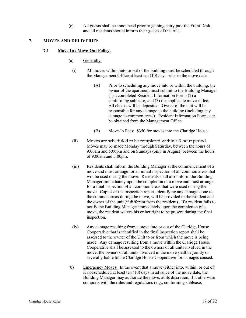(e) All guests shall be announced prior to gaining entry past the Front Desk, and all residents should inform their guests of this rule.

#### <span id="page-18-1"></span><span id="page-18-0"></span>**7. MOVES AND DELIVERIES**

#### **7.1 Move-In / Move-Out Policy.**

- (a) Generally.
	- (i) All moves within, into or out of the building must be scheduled through the Management Office at least ten (10) days prior to the move date.
		- (A) Prior to scheduling any move into or within the building, the owner of the apartment must submit to the Building Manager (1) a completed Resident Information Form, (2) a conforming sublease, and (3) the applicable move-in fee. All checks will be deposited. Owner of the unit will be responsible for any damage to the building (including any damage to common areas). Resident Information Forms can be obtained from the Management Office.
		- (B) Move-In Fees: \$350 for moves into the Claridge House.
	- (ii) Moves are scheduled to be completed within a 3-hour period. Moves may be made Monday through Saturday, between the hours of 9:00am and 5:00pm and on Sundays (only in August) between the hours of 9:00am and 5:00pm.
	- (iii) Residents shall inform the Building Manager at the commencement of a move and must arrange for an initial inspection of all common areas that will be used during the move. Residents shall also inform the Building Manager immediately upon the completion of a move and must arrange for a final inspection of all common areas that were used during the move. Copies of the inspection report, identifying any damage done to the common areas during the move, will be provided to the resident and the owner of the unit (if different from the resident). If a resident fails to notify the Building Manager immediately upon the completion of a move, the resident waives his or her right to be present during the final inspection.
	- (iv) Any damage resulting from a move into or out of the Claridge House Cooperative that is identified in the final inspection report shall be assessed to the owner of the Unit to or from which the move is being made. Any damage resulting from a move within the Claridge House Cooperative shall be assessed to the owners of all units involved in the move; the owners of all units involved in the move shall be jointly or severally liable to the Claridge House Cooperative for damages caused.
- (b) Emergency Moves. In the event that a move (either into, within, or out of) is not scheduled at least ten (10) days in advance of the move date, the Building Manager may authorize the move, at its discretion, if it otherwise comports with the rules and regulations (e.g., conforming sublease,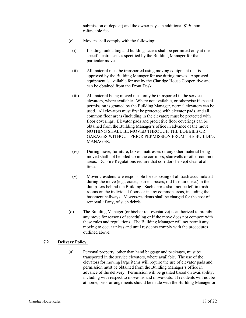submission of deposit) and the owner pays an additional \$150 nonrefundable fee.

- (c) Movers shall comply with the following:
	- (i) Loading, unloading and building access shall be permitted only at the specific entrances as specified by the Building Manager for that particular move.
	- (ii) All material must be transported using moving equipment that is approved by the Building Manager for use during moves. Approved equipment is available for use by the Claridge House Cooperative and can be obtained from the Front Desk.
	- (iii) All material being moved must only be transported in the service elevators, where available. Where not available, or otherwise if special permission is granted by the Building Manager, normal elevators can be used. All elevators must first be protected with elevator pads, and all common floor areas (including in the elevator) must be protected with floor coverings. Elevator pads and protective floor coverings can be obtained from the Building Manager's office in advance of the move. NOTHING SHALL BE MOVED THROUGH THE LOBBIES OR GARAGES WITHOUT PRIOR PERMISSION FROM THE BUILDING MANAGER.
	- (iv) During move, furniture, boxes, mattresses or any other material being moved shall not be piled up in the corridors, stairwells or other common areas. DC Fire Regulations require that corridors be kept clear at all times.
	- (v) Movers/residents are responsible for disposing of all trash accumulated during the move (e.g., crates, barrels, boxes, old furniture, etc.) in the dumpsters behind the Building. Such debris shall not be left in trash rooms on the individual floors or in any common areas, including the basement hallways. Movers/residents shall be charged for the cost of removal, if any, of such debris.
- (d) The Building Manager (or his/her representative) is authorized to prohibit any move for reasons of scheduling or if the move does not comport with these rules and regulations. The Building Manager will not permit any moving to occur unless and until residents comply with the procedures outlined above.

#### <span id="page-19-0"></span>**7.2 Delivery Policy.**

(a) Personal property, other than hand baggage and packages, must be transported in the service elevators, where available. The use of the elevators for moving large items will require the use of elevator pads and permission must be obtained from the Building Manager's office in advance of the delivery. Permission will be granted based on availability, including with respect to move-ins and move-outs.If residents will not be at home, prior arrangements should be made with the Building Manager or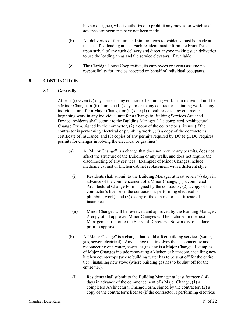his/her designee, who is authorized to prohibit any moves for which such advance arrangements have not been made.

- (b) All deliveries of furniture and similar items to residents must be made at the specified loading areas. Each resident must inform the Front Desk upon arrival of any such delivery and direct anyone making such deliveries to use the loading areas and the service elevators, if available.
- (c) The Claridge House Cooperative, its employees or agents assume no responsibility for articles accepted on behalf of individual occupants.

# <span id="page-20-1"></span><span id="page-20-0"></span>**8. CONTRACTORS**

#### **8.1 Generally.**

At least (i) seven (7) days prior to any contractor beginning work in an individual unit for a Minor Change, or (ii) fourteen (14) days prior to any contractor beginning work in any individual unit for a Major Change, or (iii) one (1) month prior to any contractor beginning work in any individual unit for a Change to Building Services Attached Device, residents shall submit to the Building Manager (1) a completed Architectural Change Form, signed by the contractor, (2) a copy of the contractor's license (if the contractor is performing electrical or plumbing work), (3) a copy of the contractor's certificate of insurance, and (3) copies of any permits required by DC (e.g., DC requires permits for changes involving the electrical or gas lines).

- (a) A "Minor Change" is a change that does not require any permits, does not affect the structure of the Building or any walls, and does not require the disconnecting of any services. Examples of Minor Changes include medicine cabinet or kitchen cabinet replacement with a different style.
	- (i) Residents shall submit to the Building Manager at least seven (7) days in advance of the commencement of a Minor Change, (1) a completed Architectural Change Form, signed by the contractor, (2) a copy of the contractor's license (if the contractor is performing electrical or plumbing work), and (3) a copy of the contractor's certificate of insurance.
	- (ii) Minor Changes will be reviewed and approved by the Building Manager. A copy of all approved Minor Changes will be included in the next Management report to the Board of Directors. No work is to be done prior to approval.
- (b) A "Major Change" is a change that could affect building services (water, gas, sewer, electrical). Any change that involves the disconnecting and reconnecting of a water, sewer, or gas line is a Major Change. Examples of Major Changes include renovating a kitchen or bathroom, installing new kitchen countertops (where building water has to be shut off for the entire tier), installing new stove (where building gas has to be shut off for the entire tier).
	- (i) Residents shall submit to the Building Manager at least fourteen (14) days in advance of the commencement of a Major Change, (1) a completed Architectural Change Form, signed by the contractor, (2) a copy of the contractor's license (if the contractor is performing electrical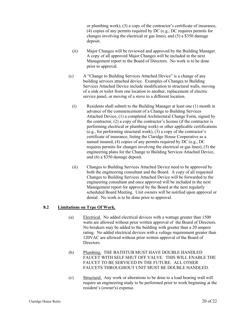or plumbing work), (3) a copy of the contractor's certificate of insurance, (4) copies of any permits required by DC (e.g., DC requires permits for changes involving the electrical or gas lines), and (5) a \$350 damage deposit.

- (ii) Major Changes will be reviewed and approved by the Building Manager. A copy of all approved Major Changes will be included in the next Management report to the Board of Directors. No work is to be done prior to approval.
- (c) A "Change to Building Services Attached Device" is a change of any building services attached device. Examples of Changes to Building Services Attached Device include modification to structural walls, moving of a sink or toilet from one location to another, replacement of electric service panel, or moving of a stove to a different location.
	- (i) Residents shall submit to the Building Manager at least one (1) month in advance of the commencement of a Change to Building Services Attached Device, (1) a completed Architectural Change Form, signed by the contractor, (2) a copy of the contractor's license (if the contractor is performing electrical or plumbing work) or other applicable certifications (e.g., for performing structural work), (3) a copy of the contractor's certificate of insurance, listing the Claridge House Cooperative as a named insured, (4) copies of any permits required by DC (e.g., DC requires permits for changes involving the electrical or gas lines), (5) the engineering plans for the Change to Building Services Attached Device, and (6) a \$350 damage deposit.
	- (ii) Changes to Building Services Attached Device need to be approved by both the engineering consultant and the Board. A copy of all requested Changes to Building Services Attached Device will be forwarded to the engineering consultant and once approved will be included in the next Management report for approval by the Board at the next regularly scheduled Board Meeting. Unit owners will be notified upon approval or denial. No work is to be done prior to approval.

# <span id="page-21-0"></span>**8.2 Limitations on Type Of Work.**

- (a) Electrical. No added electrical devices with a wattage greater than 1500 watts are allowed without prior written approval of the Board of Directors. No breakers may be added to the building with greater than a 20 ampere rating. No added electrical devices with a voltage requirement greater than 120VAC are allowed without prior written approval of the Board of Directors.
- (b) Plumbing. THE BATHTUB MUST HAVE DOUBLE HANDLED FAUCET WITH SELF SHUT OFF VALVE. THIS WILL ENABLE THE FAUCET TO BE SERVICED IN THE FUTURE. ALL OTHER FAUCETS THROUGHOUT UNIT MUST BE DOUBLE HANDLED.
- (c) Structural. Any work or alterations to be done to a load bearing wall will require an engineering study to be performed prior to work beginning at the resident's (owner's) expense.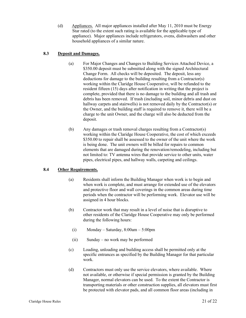(d) Appliances. All major appliances installed after May 11, 2010 must be Energy Star rated (to the extent such rating is available for the applicable type of appliance). Major appliances include refrigerators, ovens, dishwashers and other household appliances of a similar nature.

# <span id="page-22-0"></span>**8.3 Deposit and Damages.**

- (a) For Major Changes and Changes to Building Services Attached Device, a \$350.00 deposit must be submitted along with the signed Architectural Change Form. All checks will be deposited. The deposit, less any deductions for damage to the building resulting from a Contractor(s) working within the Claridge House Cooperative, will be refunded to the resident fifteen (15) days after notification in writing that the project is complete, provided that there is no damage to the building and all trash and debris has been removed. If trash (including soil, minor debris and dust on hallway carpets and stairwells) is not removed daily by the Contractor(s) or the Owner, and the building staff is required to remove it, there will be a charge to the unit Owner, and the charge will also be deducted from the deposit.
- (b) Any damages or trash removal charges resulting from a Contractor(s) working within the Claridge House Cooperative, the cost of which exceeds \$350.00 to repair shall be assessed to the owner of the unit where the work is being done. The unit owners will be billed for repairs to common elements that are damaged during the renovation/remodeling, including but not limited to: TV antenna wires that provide service to other units, water pipes, electrical pipes, and hallway walls, carpeting and ceilings.

# <span id="page-22-2"></span><span id="page-22-1"></span>**8.4 Other Requirements.**

- (a) Residents shall inform the Building Manager when work is to begin and when work is complete, and must arrange for extended use of the elevators and protective floor and wall coverings in the common areas during time periods when the contractor will be performing work. Elevator use will be assigned in 4 hour blocks.
- (b) Contractor work that may result in a level of noise that is disruptive to other residents of the Claridge House Cooperative may only be performed during the following hours:
	- (i) Monday Saturday, 8:00am 5:00pm
	- (ii) Sunday no work may be performed
- (c) Loading, unloading and building access shall be permitted only at the specific entrances as specified by the Building Manager for that particular work.
- (d) Contractors must only use the service elevators, where available. Where not available, or otherwise if special permission is granted by the Building Manager, normal elevators can be used. To the extent the Contractor is transporting materials or other construction supplies, all elevators must first be protected with elevator pads, and all common floor areas (including in